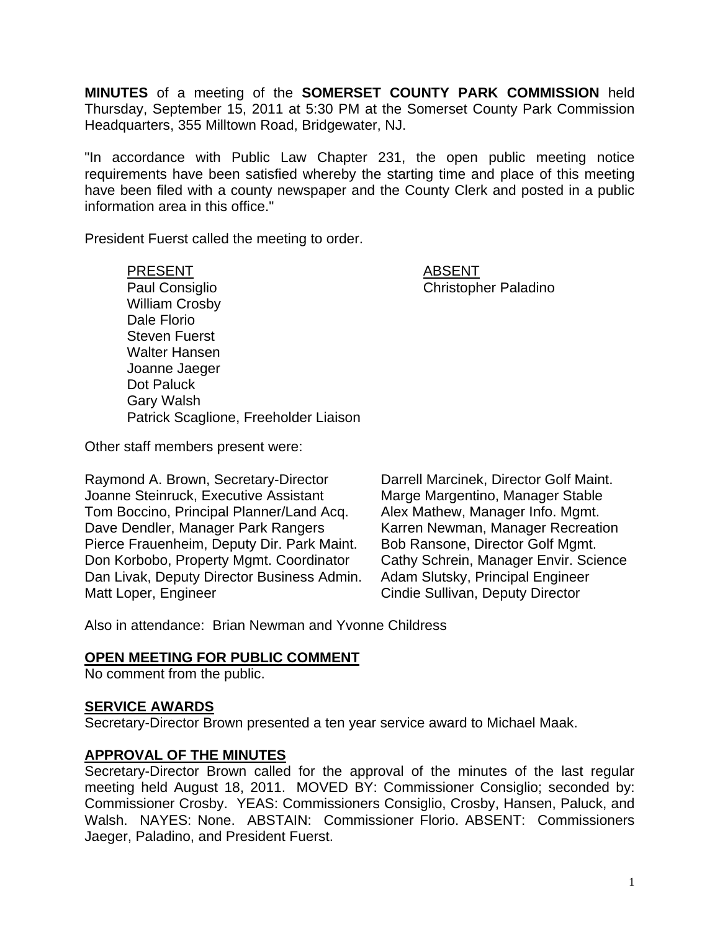**MINUTES** of a meeting of the **SOMERSET COUNTY PARK COMMISSION** held Thursday, September 15, 2011 at 5:30 PM at the Somerset County Park Commission Headquarters, 355 Milltown Road, Bridgewater, NJ.

"In accordance with Public Law Chapter 231, the open public meeting notice requirements have been satisfied whereby the starting time and place of this meeting have been filed with a county newspaper and the County Clerk and posted in a public information area in this office."

President Fuerst called the meeting to order.

PRESENT ABSENT Paul Consiglio Christopher Paladino William Crosby Dale Florio Steven Fuerst Walter Hansen Joanne Jaeger Dot Paluck Gary Walsh Patrick Scaglione, Freeholder Liaison

Other staff members present were:

Raymond A. Brown, Secretary-Director Darrell Marcinek, Director Golf Maint. Joanne Steinruck, Executive Assistant Marge Margentino, Manager Stable Tom Boccino, Principal Planner/Land Acq. Alex Mathew, Manager Info. Mgmt. Dave Dendler, Manager Park Rangers Karren Newman, Manager Recreation Pierce Frauenheim, Deputy Dir. Park Maint. Bob Ransone, Director Golf Mgmt. Don Korbobo, Property Mgmt. Coordinator Cathy Schrein, Manager Envir. Science Dan Livak, Deputy Director Business Admin. Adam Slutsky, Principal Engineer Matt Loper, Engineer **Cindie Sullivan, Deputy Director** 

Also in attendance: Brian Newman and Yvonne Childress

### **OPEN MEETING FOR PUBLIC COMMENT**

No comment from the public.

### **SERVICE AWARDS**

Secretary-Director Brown presented a ten year service award to Michael Maak.

### **APPROVAL OF THE MINUTES**

Secretary-Director Brown called for the approval of the minutes of the last regular meeting held August 18, 2011. MOVED BY: Commissioner Consiglio; seconded by: Commissioner Crosby. YEAS: Commissioners Consiglio, Crosby, Hansen, Paluck, and Walsh. NAYES: None. ABSTAIN: Commissioner Florio. ABSENT: Commissioners Jaeger, Paladino, and President Fuerst.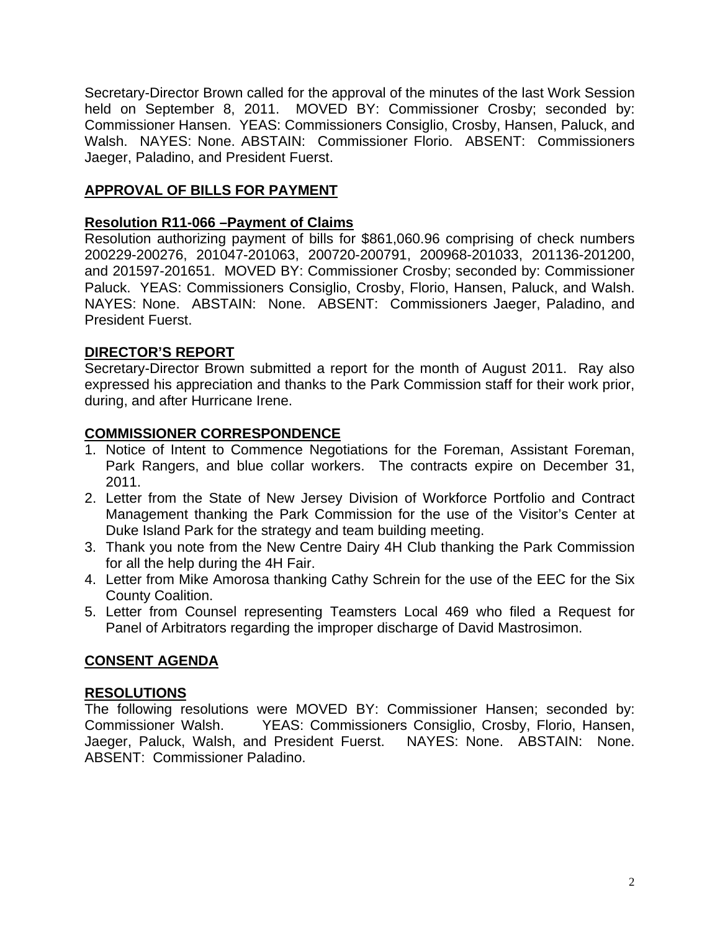Secretary-Director Brown called for the approval of the minutes of the last Work Session held on September 8, 2011. MOVED BY: Commissioner Crosby; seconded by: Commissioner Hansen. YEAS: Commissioners Consiglio, Crosby, Hansen, Paluck, and Walsh. NAYES: None. ABSTAIN: Commissioner Florio. ABSENT: Commissioners Jaeger, Paladino, and President Fuerst.

# **APPROVAL OF BILLS FOR PAYMENT**

### **Resolution R11-066 –Payment of Claims**

Resolution authorizing payment of bills for \$861,060.96 comprising of check numbers 200229-200276, 201047-201063, 200720-200791, 200968-201033, 201136-201200, and 201597-201651. MOVED BY: Commissioner Crosby; seconded by: Commissioner Paluck. YEAS: Commissioners Consiglio, Crosby, Florio, Hansen, Paluck, and Walsh. NAYES: None. ABSTAIN: None. ABSENT: Commissioners Jaeger, Paladino, and President Fuerst.

# **DIRECTOR'S REPORT**

Secretary-Director Brown submitted a report for the month of August 2011. Ray also expressed his appreciation and thanks to the Park Commission staff for their work prior, during, and after Hurricane Irene.

### **COMMISSIONER CORRESPONDENCE**

- 1. Notice of Intent to Commence Negotiations for the Foreman, Assistant Foreman, Park Rangers, and blue collar workers. The contracts expire on December 31, 2011.
- 2. Letter from the State of New Jersey Division of Workforce Portfolio and Contract Management thanking the Park Commission for the use of the Visitor's Center at Duke Island Park for the strategy and team building meeting.
- 3. Thank you note from the New Centre Dairy 4H Club thanking the Park Commission for all the help during the 4H Fair.
- 4. Letter from Mike Amorosa thanking Cathy Schrein for the use of the EEC for the Six County Coalition.
- 5. Letter from Counsel representing Teamsters Local 469 who filed a Request for Panel of Arbitrators regarding the improper discharge of David Mastrosimon.

### **CONSENT AGENDA**

### **RESOLUTIONS**

The following resolutions were MOVED BY: Commissioner Hansen; seconded by: Commissioner Walsh. YEAS: Commissioners Consiglio, Crosby, Florio, Hansen, Jaeger, Paluck, Walsh, and President Fuerst. NAYES: None. ABSTAIN: None. ABSENT: Commissioner Paladino.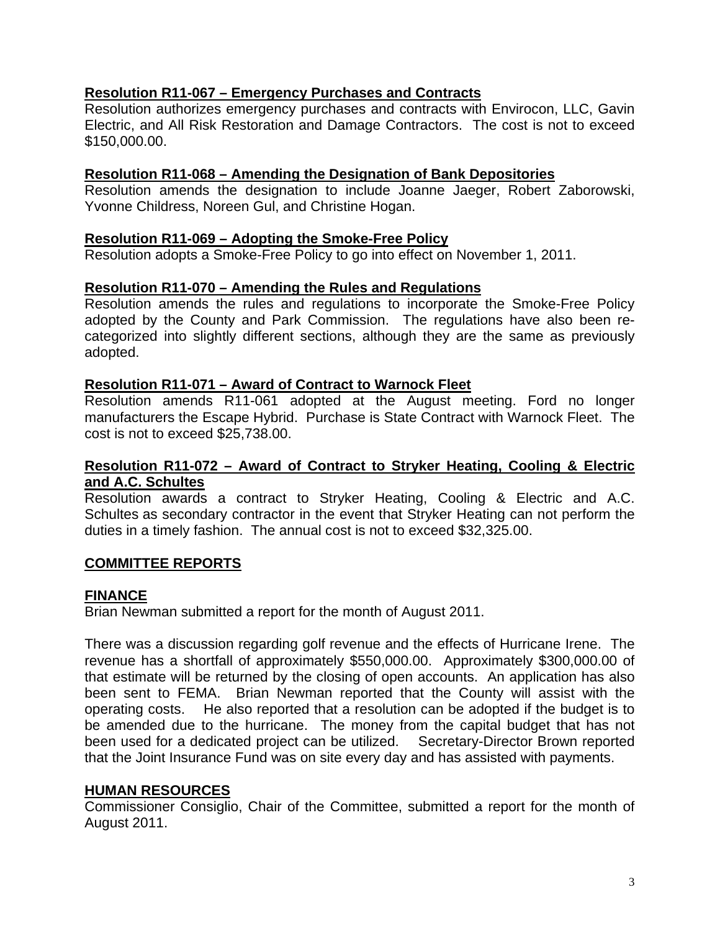## **Resolution R11-067 – Emergency Purchases and Contracts**

Resolution authorizes emergency purchases and contracts with Envirocon, LLC, Gavin Electric, and All Risk Restoration and Damage Contractors. The cost is not to exceed \$150,000.00.

### **Resolution R11-068 – Amending the Designation of Bank Depositories**

Resolution amends the designation to include Joanne Jaeger, Robert Zaborowski, Yvonne Childress, Noreen Gul, and Christine Hogan.

## **Resolution R11-069 – Adopting the Smoke-Free Policy**

Resolution adopts a Smoke-Free Policy to go into effect on November 1, 2011.

### **Resolution R11-070 – Amending the Rules and Regulations**

Resolution amends the rules and regulations to incorporate the Smoke-Free Policy adopted by the County and Park Commission. The regulations have also been recategorized into slightly different sections, although they are the same as previously adopted.

### **Resolution R11-071 – Award of Contract to Warnock Fleet**

Resolution amends R11-061 adopted at the August meeting. Ford no longer manufacturers the Escape Hybrid. Purchase is State Contract with Warnock Fleet. The cost is not to exceed \$25,738.00.

### **Resolution R11-072 – Award of Contract to Stryker Heating, Cooling & Electric and A.C. Schultes**

Resolution awards a contract to Stryker Heating, Cooling & Electric and A.C. Schultes as secondary contractor in the event that Stryker Heating can not perform the duties in a timely fashion. The annual cost is not to exceed \$32,325.00.

### **COMMITTEE REPORTS**

### **FINANCE**

Brian Newman submitted a report for the month of August 2011.

There was a discussion regarding golf revenue and the effects of Hurricane Irene. The revenue has a shortfall of approximately \$550,000.00. Approximately \$300,000.00 of that estimate will be returned by the closing of open accounts. An application has also been sent to FEMA. Brian Newman reported that the County will assist with the operating costs. He also reported that a resolution can be adopted if the budget is to be amended due to the hurricane. The money from the capital budget that has not been used for a dedicated project can be utilized. Secretary-Director Brown reported that the Joint Insurance Fund was on site every day and has assisted with payments.

# **HUMAN RESOURCES**

Commissioner Consiglio, Chair of the Committee, submitted a report for the month of August 2011.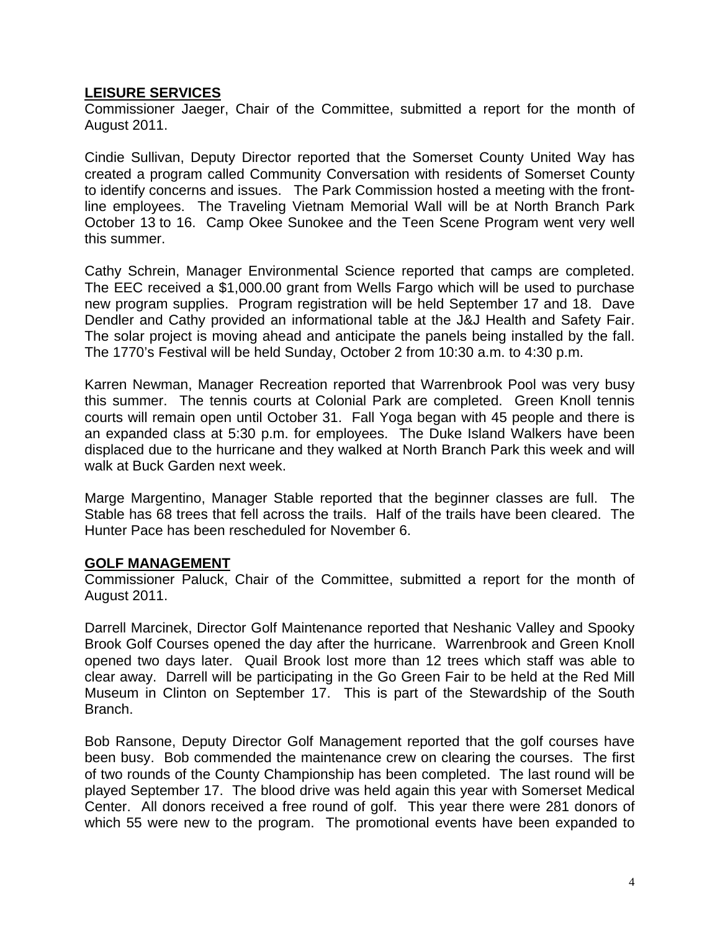## **LEISURE SERVICES**

Commissioner Jaeger, Chair of the Committee, submitted a report for the month of August 2011.

Cindie Sullivan, Deputy Director reported that the Somerset County United Way has created a program called Community Conversation with residents of Somerset County to identify concerns and issues. The Park Commission hosted a meeting with the frontline employees. The Traveling Vietnam Memorial Wall will be at North Branch Park October 13 to 16. Camp Okee Sunokee and the Teen Scene Program went very well this summer.

Cathy Schrein, Manager Environmental Science reported that camps are completed. The EEC received a \$1,000.00 grant from Wells Fargo which will be used to purchase new program supplies. Program registration will be held September 17 and 18. Dave Dendler and Cathy provided an informational table at the J&J Health and Safety Fair. The solar project is moving ahead and anticipate the panels being installed by the fall. The 1770's Festival will be held Sunday, October 2 from 10:30 a.m. to 4:30 p.m.

Karren Newman, Manager Recreation reported that Warrenbrook Pool was very busy this summer. The tennis courts at Colonial Park are completed. Green Knoll tennis courts will remain open until October 31. Fall Yoga began with 45 people and there is an expanded class at 5:30 p.m. for employees. The Duke Island Walkers have been displaced due to the hurricane and they walked at North Branch Park this week and will walk at Buck Garden next week.

Marge Margentino, Manager Stable reported that the beginner classes are full. The Stable has 68 trees that fell across the trails. Half of the trails have been cleared. The Hunter Pace has been rescheduled for November 6.

### **GOLF MANAGEMENT**

Commissioner Paluck, Chair of the Committee, submitted a report for the month of August 2011.

Darrell Marcinek, Director Golf Maintenance reported that Neshanic Valley and Spooky Brook Golf Courses opened the day after the hurricane. Warrenbrook and Green Knoll opened two days later. Quail Brook lost more than 12 trees which staff was able to clear away. Darrell will be participating in the Go Green Fair to be held at the Red Mill Museum in Clinton on September 17. This is part of the Stewardship of the South Branch.

Bob Ransone, Deputy Director Golf Management reported that the golf courses have been busy. Bob commended the maintenance crew on clearing the courses. The first of two rounds of the County Championship has been completed. The last round will be played September 17. The blood drive was held again this year with Somerset Medical Center. All donors received a free round of golf. This year there were 281 donors of which 55 were new to the program. The promotional events have been expanded to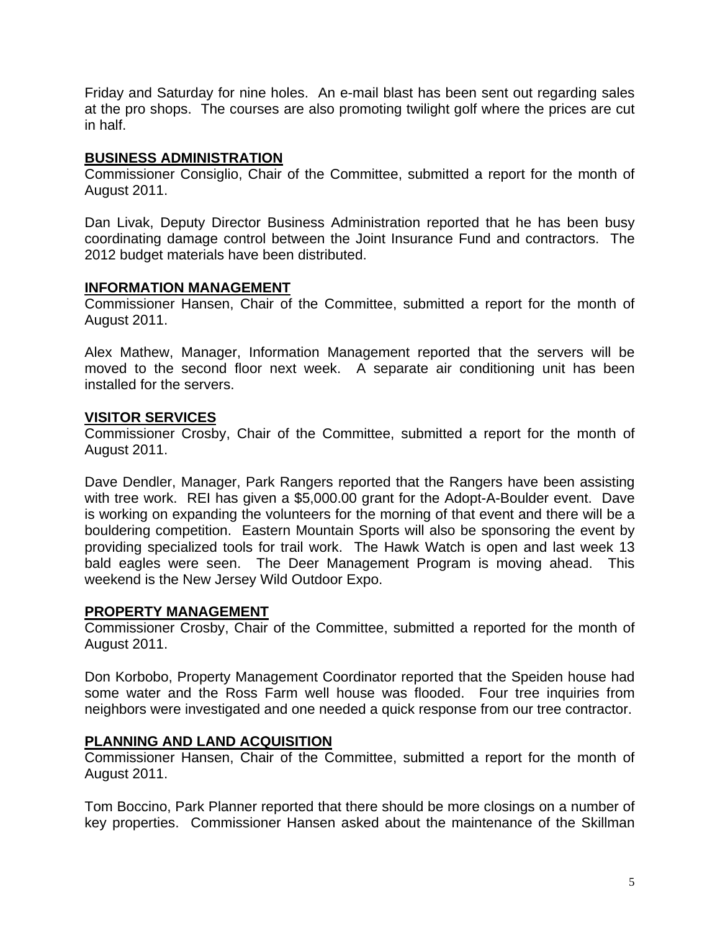Friday and Saturday for nine holes. An e-mail blast has been sent out regarding sales at the pro shops. The courses are also promoting twilight golf where the prices are cut in half.

### **BUSINESS ADMINISTRATION**

Commissioner Consiglio, Chair of the Committee, submitted a report for the month of August 2011.

Dan Livak, Deputy Director Business Administration reported that he has been busy coordinating damage control between the Joint Insurance Fund and contractors. The 2012 budget materials have been distributed.

# **INFORMATION MANAGEMENT**

Commissioner Hansen, Chair of the Committee, submitted a report for the month of August 2011.

Alex Mathew, Manager, Information Management reported that the servers will be moved to the second floor next week. A separate air conditioning unit has been installed for the servers.

## **VISITOR SERVICES**

Commissioner Crosby, Chair of the Committee, submitted a report for the month of August 2011.

Dave Dendler, Manager, Park Rangers reported that the Rangers have been assisting with tree work. REI has given a \$5,000.00 grant for the Adopt-A-Boulder event. Dave is working on expanding the volunteers for the morning of that event and there will be a bouldering competition. Eastern Mountain Sports will also be sponsoring the event by providing specialized tools for trail work. The Hawk Watch is open and last week 13 bald eagles were seen. The Deer Management Program is moving ahead. This weekend is the New Jersey Wild Outdoor Expo.

### **PROPERTY MANAGEMENT**

Commissioner Crosby, Chair of the Committee, submitted a reported for the month of August 2011.

Don Korbobo, Property Management Coordinator reported that the Speiden house had some water and the Ross Farm well house was flooded. Four tree inquiries from neighbors were investigated and one needed a quick response from our tree contractor.

# **PLANNING AND LAND ACQUISITION**

Commissioner Hansen, Chair of the Committee, submitted a report for the month of August 2011.

Tom Boccino, Park Planner reported that there should be more closings on a number of key properties. Commissioner Hansen asked about the maintenance of the Skillman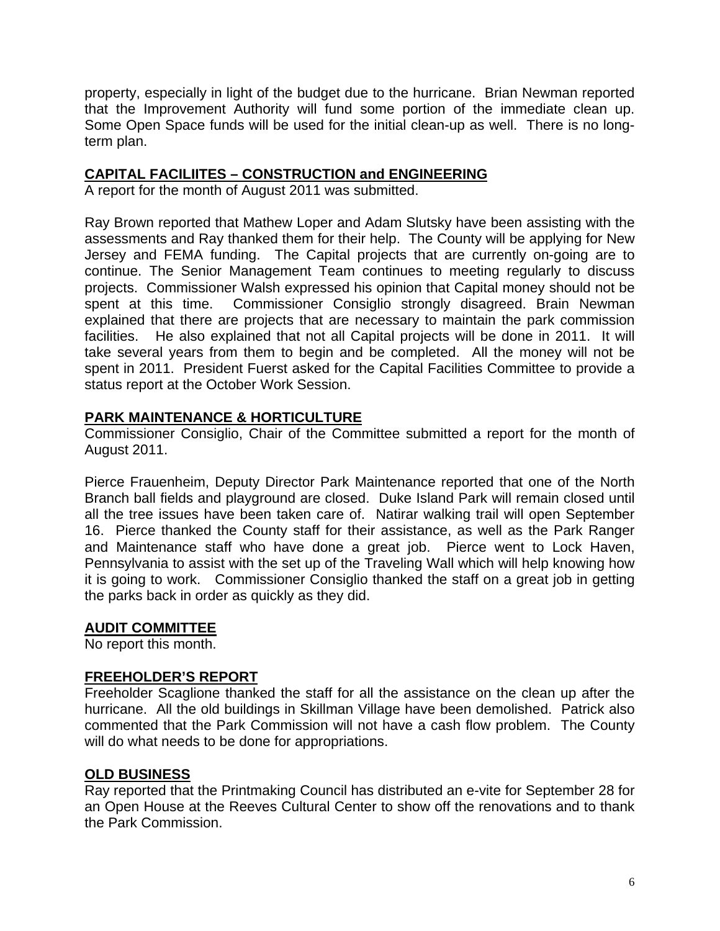property, especially in light of the budget due to the hurricane. Brian Newman reported that the Improvement Authority will fund some portion of the immediate clean up. Some Open Space funds will be used for the initial clean-up as well. There is no longterm plan.

## **CAPITAL FACILIITES – CONSTRUCTION and ENGINEERING**

A report for the month of August 2011 was submitted.

Ray Brown reported that Mathew Loper and Adam Slutsky have been assisting with the assessments and Ray thanked them for their help. The County will be applying for New Jersey and FEMA funding. The Capital projects that are currently on-going are to continue. The Senior Management Team continues to meeting regularly to discuss projects. Commissioner Walsh expressed his opinion that Capital money should not be spent at this time. Commissioner Consiglio strongly disagreed. Brain Newman explained that there are projects that are necessary to maintain the park commission facilities. He also explained that not all Capital projects will be done in 2011. It will take several years from them to begin and be completed. All the money will not be spent in 2011. President Fuerst asked for the Capital Facilities Committee to provide a status report at the October Work Session.

## **PARK MAINTENANCE & HORTICULTURE**

Commissioner Consiglio, Chair of the Committee submitted a report for the month of August 2011.

Pierce Frauenheim, Deputy Director Park Maintenance reported that one of the North Branch ball fields and playground are closed. Duke Island Park will remain closed until all the tree issues have been taken care of. Natirar walking trail will open September 16. Pierce thanked the County staff for their assistance, as well as the Park Ranger and Maintenance staff who have done a great job. Pierce went to Lock Haven, Pennsylvania to assist with the set up of the Traveling Wall which will help knowing how it is going to work. Commissioner Consiglio thanked the staff on a great job in getting the parks back in order as quickly as they did.

### **AUDIT COMMITTEE**

No report this month.

### **FREEHOLDER'S REPORT**

Freeholder Scaglione thanked the staff for all the assistance on the clean up after the hurricane. All the old buildings in Skillman Village have been demolished. Patrick also commented that the Park Commission will not have a cash flow problem. The County will do what needs to be done for appropriations.

### **OLD BUSINESS**

Ray reported that the Printmaking Council has distributed an e-vite for September 28 for an Open House at the Reeves Cultural Center to show off the renovations and to thank the Park Commission.